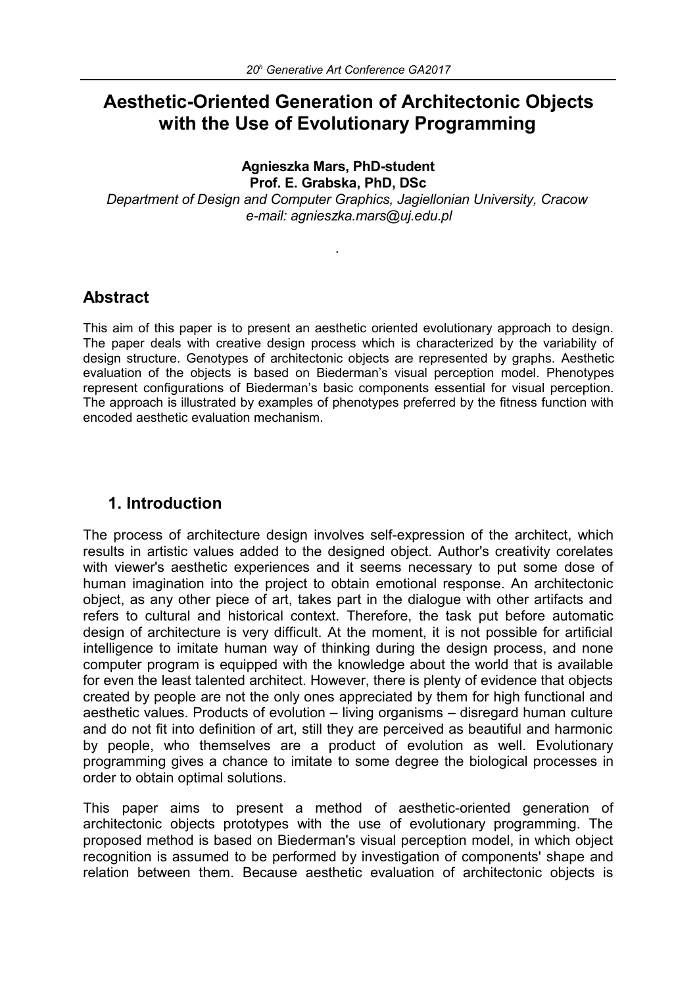# **Aesthetic-Oriented Generation of Architectonic Objects with the Use of Evolutionary Programming**

#### **Agnieszka Mars, PhD-student**

**Prof. E. Grabska, PhD, DSc**

*Department of Design and Computer Graphics, Jagiellonian University, Cracow e-mail: agnieszka.mars@uj.edu.pl*

*.*

### **Abstract**

This aim of this paper is to present an aesthetic oriented evolutionary approach to design. The paper deals with creative design process which is characterized by the variability of design structure. Genotypes of architectonic objects are represented by graphs. Aesthetic evaluation of the objects is based on Biederman's visual perception model. Phenotypes represent configurations of Biederman's basic components essential for visual perception. The approach is illustrated by examples of phenotypes preferred by the fitness function with encoded aesthetic evaluation mechanism.

### **1. Introduction**

The process of architecture design involves self-expression of the architect, which results in artistic values added to the designed object. Author's creativity corelates with viewer's aesthetic experiences and it seems necessary to put some dose of human imagination into the project to obtain emotional response. An architectonic object, as any other piece of art, takes part in the dialogue with other artifacts and refers to cultural and historical context. Therefore, the task put before automatic design of architecture is very difficult. At the moment, it is not possible for artificial intelligence to imitate human way of thinking during the design process, and none computer program is equipped with the knowledge about the world that is available for even the least talented architect. However, there is plenty of evidence that objects created by people are not the only ones appreciated by them for high functional and aesthetic values. Products of evolution – living organisms – disregard human culture and do not fit into definition of art, still they are perceived as beautiful and harmonic by people, who themselves are a product of evolution as well. Evolutionary programming gives a chance to imitate to some degree the biological processes in order to obtain optimal solutions.

This paper aims to present a method of aesthetic-oriented generation of architectonic objects prototypes with the use of evolutionary programming. The proposed method is based on Biederman's visual perception model, in which object recognition is assumed to be performed by investigation of components' shape and relation between them. Because aesthetic evaluation of architectonic objects is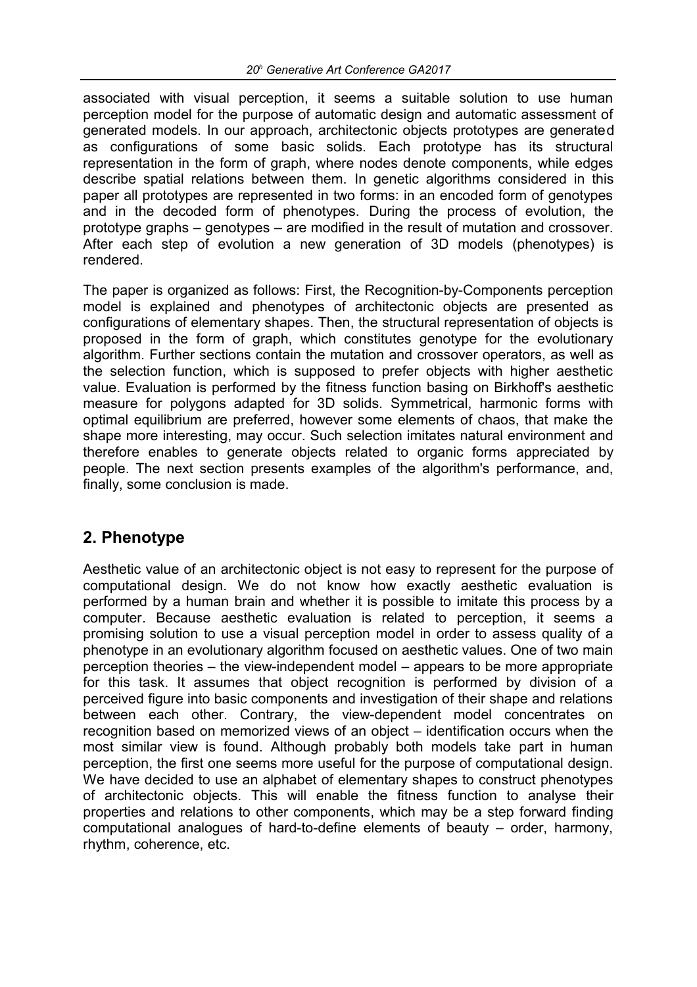associated with visual perception, it seems a suitable solution to use human perception model for the purpose of automatic design and automatic assessment of generated models. In our approach, architectonic objects prototypes are generated as configurations of some basic solids. Each prototype has its structural representation in the form of graph, where nodes denote components, while edges describe spatial relations between them. In genetic algorithms considered in this paper all prototypes are represented in two forms: in an encoded form of genotypes and in the decoded form of phenotypes. During the process of evolution, the prototype graphs – genotypes – are modified in the result of mutation and crossover. After each step of evolution a new generation of 3D models (phenotypes) is rendered.

The paper is organized as follows: First, the Recognition-by-Components perception model is explained and phenotypes of architectonic objects are presented as configurations of elementary shapes. Then, the structural representation of objects is proposed in the form of graph, which constitutes genotype for the evolutionary algorithm. Further sections contain the mutation and crossover operators, as well as the selection function, which is supposed to prefer objects with higher aesthetic value. Evaluation is performed by the fitness function basing on Birkhoff's aesthetic measure for polygons adapted for 3D solids. Symmetrical, harmonic forms with optimal equilibrium are preferred, however some elements of chaos, that make the shape more interesting, may occur. Such selection imitates natural environment and therefore enables to generate objects related to organic forms appreciated by people. The next section presents examples of the algorithm's performance, and, finally, some conclusion is made.

## **2. Phenotype**

Aesthetic value of an architectonic object is not easy to represent for the purpose of computational design. We do not know how exactly aesthetic evaluation is performed by a human brain and whether it is possible to imitate this process by a computer. Because aesthetic evaluation is related to perception, it seems a promising solution to use a visual perception model in order to assess quality of a phenotype in an evolutionary algorithm focused on aesthetic values. One of two main perception theories – the view-independent model – appears to be more appropriate for this task. It assumes that object recognition is performed by division of a perceived figure into basic components and investigation of their shape and relations between each other. Contrary, the view-dependent model concentrates on recognition based on memorized views of an object – identification occurs when the most similar view is found. Although probably both models take part in human perception, the first one seems more useful for the purpose of computational design. We have decided to use an alphabet of elementary shapes to construct phenotypes of architectonic objects. This will enable the fitness function to analyse their properties and relations to other components, which may be a step forward finding computational analogues of hard-to-define elements of beauty – order, harmony, rhythm, coherence, etc.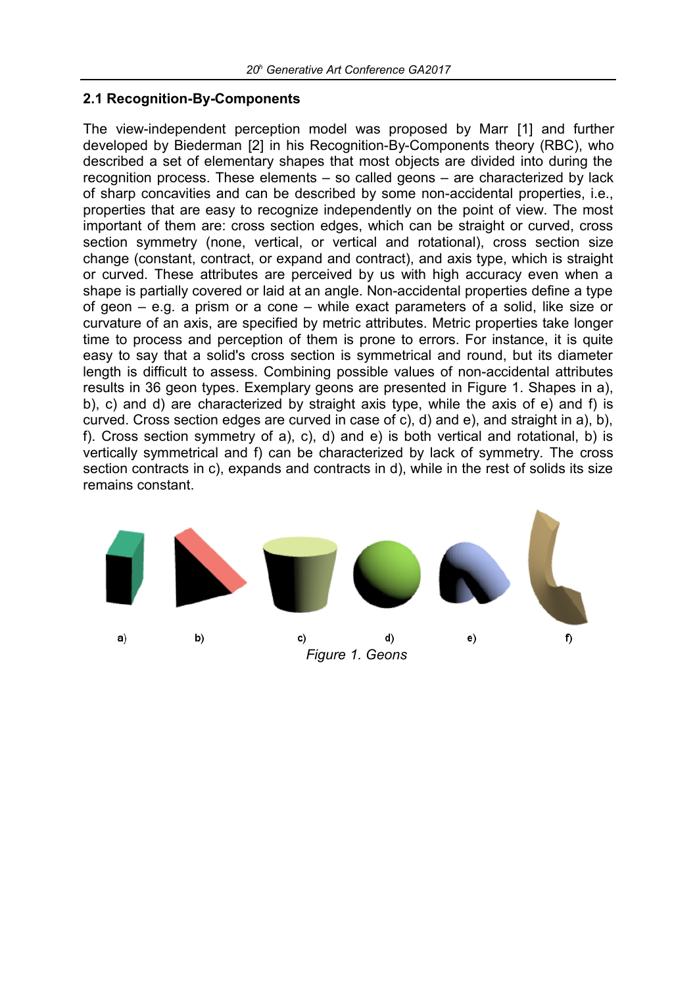#### **2.1 Recognition-By-Components**

The view-independent perception model was proposed by Marr [1] and further developed by Biederman [2] in his Recognition-By-Components theory (RBC), who described a set of elementary shapes that most objects are divided into during the recognition process. These elements – so called geons – are characterized by lack of sharp concavities and can be described by some non-accidental properties, i.e., properties that are easy to recognize independently on the point of view. The most important of them are: cross section edges, which can be straight or curved, cross section symmetry (none, vertical, or vertical and rotational), cross section size change (constant, contract, or expand and contract), and axis type, which is straight or curved. These attributes are perceived by us with high accuracy even when a shape is partially covered or laid at an angle. Non-accidental properties define a type of geon – e.g. a prism or a cone – while exact parameters of a solid, like size or curvature of an axis, are specified by metric attributes. Metric properties take longer time to process and perception of them is prone to errors. For instance, it is quite easy to say that a solid's cross section is symmetrical and round, but its diameter length is difficult to assess. Combining possible values of non-accidental attributes results in 36 geon types. Exemplary geons are presented in Figure 1. Shapes in a), b), c) and d) are characterized by straight axis type, while the axis of e) and f) is curved. Cross section edges are curved in case of c), d) and e), and straight in a), b), f). Cross section symmetry of a), c), d) and e) is both vertical and rotational, b) is vertically symmetrical and f) can be characterized by lack of symmetry. The cross section contracts in c), expands and contracts in d), while in the rest of solids its size remains constant.

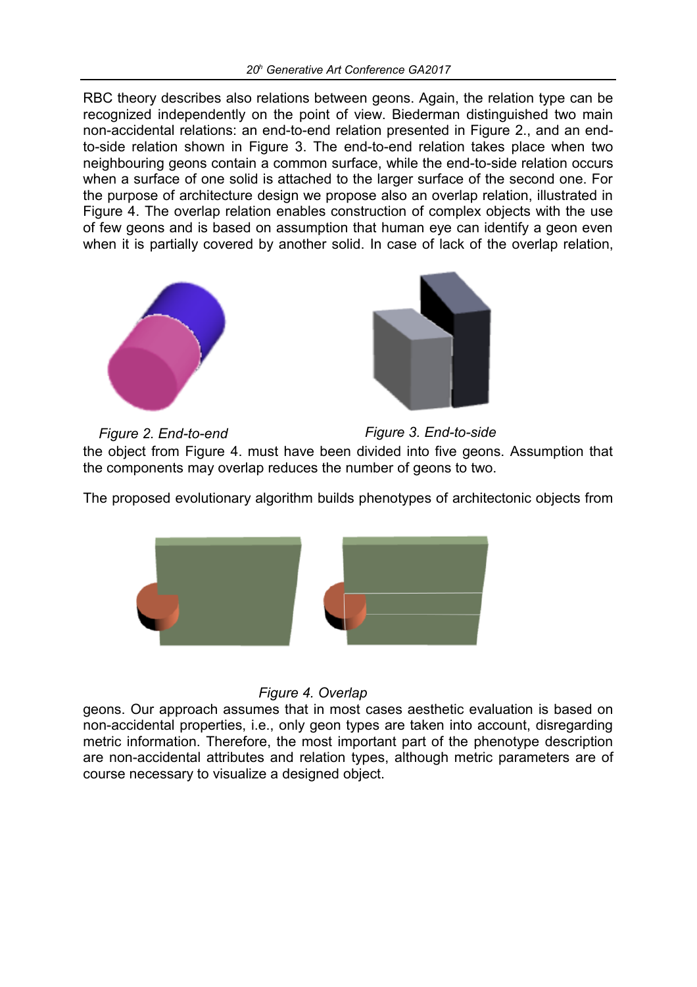RBC theory describes also relations between geons. Again, the relation type can be recognized independently on the point of view. Biederman distinguished two main non-accidental relations: an end-to-end relation presented in Figure 2., and an endto-side relation shown in Figure 3. The end-to-end relation takes place when two neighbouring geons contain a common surface, while the end-to-side relation occurs when a surface of one solid is attached to the larger surface of the second one. For the purpose of architecture design we propose also an overlap relation, illustrated in Figure 4. The overlap relation enables construction of complex objects with the use of few geons and is based on assumption that human eye can identify a geon even when it is partially covered by another solid. In case of lack of the overlap relation,





the object from Figure 4. must have been divided into five geons. Assumption that the components may overlap reduces the number of geons to two. *Figure 2. End-to-end Figure 3. End-to-side*

The proposed evolutionary algorithm builds phenotypes of architectonic objects from



*Figure 4. Overlap*

geons. Our approach assumes that in most cases aesthetic evaluation is based on non-accidental properties, i.e., only geon types are taken into account, disregarding metric information. Therefore, the most important part of the phenotype description are non-accidental attributes and relation types, although metric parameters are of course necessary to visualize a designed object.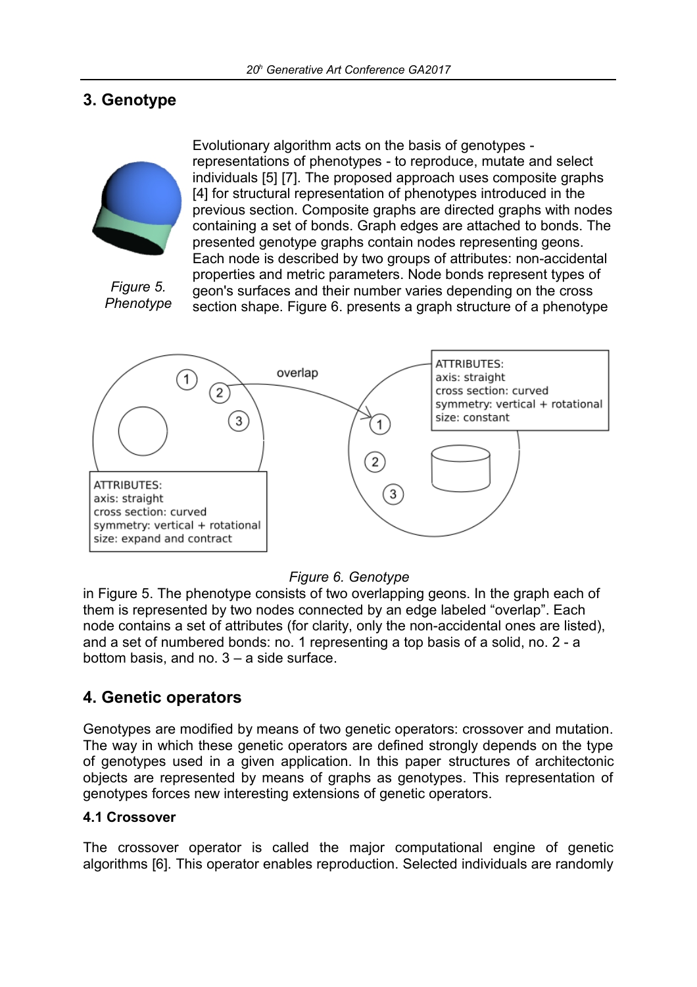# **3. Genotype**



*Figure 5. Phenotype*

Evolutionary algorithm acts on the basis of genotypes representations of phenotypes - to reproduce, mutate and select individuals [5] [7]. The proposed approach uses composite graphs [4] for structural representation of phenotypes introduced in the previous section. Composite graphs are directed graphs with nodes containing a set of bonds. Graph edges are attached to bonds. The presented genotype graphs contain nodes representing geons. Each node is described by two groups of attributes: non-accidental properties and metric parameters. Node bonds represent types of geon's surfaces and their number varies depending on the cross section shape. Figure 6. presents a graph structure of a phenotype



#### *Figure 6. Genotype*

in Figure 5. The phenotype consists of two overlapping geons. In the graph each of them is represented by two nodes connected by an edge labeled "overlap". Each node contains a set of attributes (for clarity, only the non-accidental ones are listed), and a set of numbered bonds: no. 1 representing a top basis of a solid, no. 2 - a bottom basis, and no. 3 – a side surface.

## **4. Genetic operators**

Genotypes are modified by means of two genetic operators: crossover and mutation. The way in which these genetic operators are defined strongly depends on the type of genotypes used in a given application. In this paper structures of architectonic objects are represented by means of graphs as genotypes. This representation of genotypes forces new interesting extensions of genetic operators.

#### **4.1 Crossover**

The crossover operator is called the major computational engine of genetic algorithms [6]. This operator enables reproduction. Selected individuals are randomly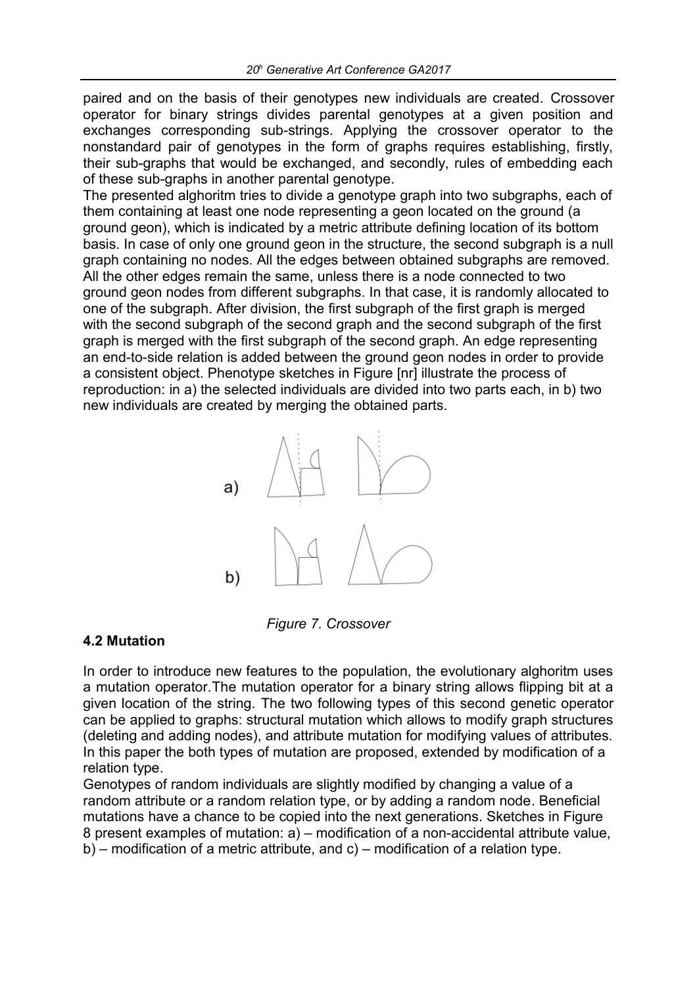paired and on the basis of their genotypes new individuals are created. Crossover operator for binary strings divides parental genotypes at a given position and exchanges corresponding sub-strings. Applying the crossover operator to the nonstandard pair of genotypes in the form of graphs requires establishing, firstly, their sub-graphs that would be exchanged, and secondly, rules of embedding each of these sub-graphs in another parental genotype.

The presented alghoritm tries to divide a genotype graph into two subgraphs, each of them containing at least one node representing a geon located on the ground (a ground geon), which is indicated by a metric attribute defining location of its bottom basis. In case of only one ground geon in the structure, the second subgraph is a null graph containing no nodes. All the edges between obtained subgraphs are removed. All the other edges remain the same, unless there is a node connected to two ground geon nodes from different subgraphs. In that case, it is randomly allocated to one of the subgraph. After division, the first subgraph of the first graph is merged with the second subgraph of the second graph and the second subgraph of the first graph is merged with the first subgraph of the second graph. An edge representing an end-to-side relation is added between the ground geon nodes in order to provide a consistent object. Phenotype sketches in Figure [nr] illustrate the process of reproduction: in a) the selected individuals are divided into two parts each, in b) two new individuals are created by merging the obtained parts.



*Figure 7. Crossover*

#### **4.2 Mutation**

In order to introduce new features to the population, the evolutionary alghoritm uses a mutation operator.The mutation operator for a binary string allows flipping bit at a given location of the string. The two following types of this second genetic operator can be applied to graphs: structural mutation which allows to modify graph structures (deleting and adding nodes), and attribute mutation for modifying values of attributes. In this paper the both types of mutation are proposed, extended by modification of a relation type.

Genotypes of random individuals are slightly modified by changing a value of a random attribute or a random relation type, or by adding a random node. Beneficial mutations have a chance to be copied into the next generations. Sketches in Figure 8 present examples of mutation: a) – modification of a non-accidental attribute value, b) – modification of a metric attribute, and c) – modification of a relation type.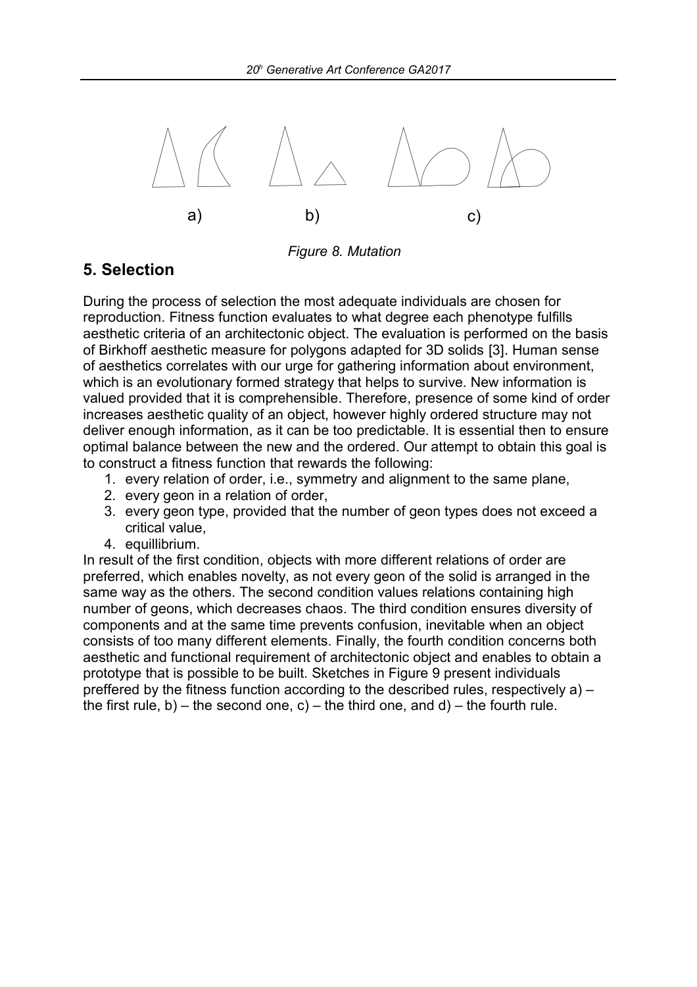

*Figure 8. Mutation*

# **5. Selection**

During the process of selection the most adequate individuals are chosen for reproduction. Fitness function evaluates to what degree each phenotype fulfills aesthetic criteria of an architectonic object. The evaluation is performed on the basis of Birkhoff aesthetic measure for polygons adapted for 3D solids [3]. Human sense of aesthetics correlates with our urge for gathering information about environment, which is an evolutionary formed strategy that helps to survive. New information is valued provided that it is comprehensible. Therefore, presence of some kind of order increases aesthetic quality of an object, however highly ordered structure may not deliver enough information, as it can be too predictable. It is essential then to ensure optimal balance between the new and the ordered. Our attempt to obtain this goal is to construct a fitness function that rewards the following:

- 1. every relation of order, i.e., symmetry and alignment to the same plane,
- 2. every geon in a relation of order,
- 3. every geon type, provided that the number of geon types does not exceed a critical value,
- 4. equillibrium.

In result of the first condition, objects with more different relations of order are preferred, which enables novelty, as not every geon of the solid is arranged in the same way as the others. The second condition values relations containing high number of geons, which decreases chaos. The third condition ensures diversity of components and at the same time prevents confusion, inevitable when an object consists of too many different elements. Finally, the fourth condition concerns both aesthetic and functional requirement of architectonic object and enables to obtain a prototype that is possible to be built. Sketches in Figure 9 present individuals preffered by the fitness function according to the described rules, respectively a) – the first rule, b) – the second one, c) – the third one, and d) – the fourth rule.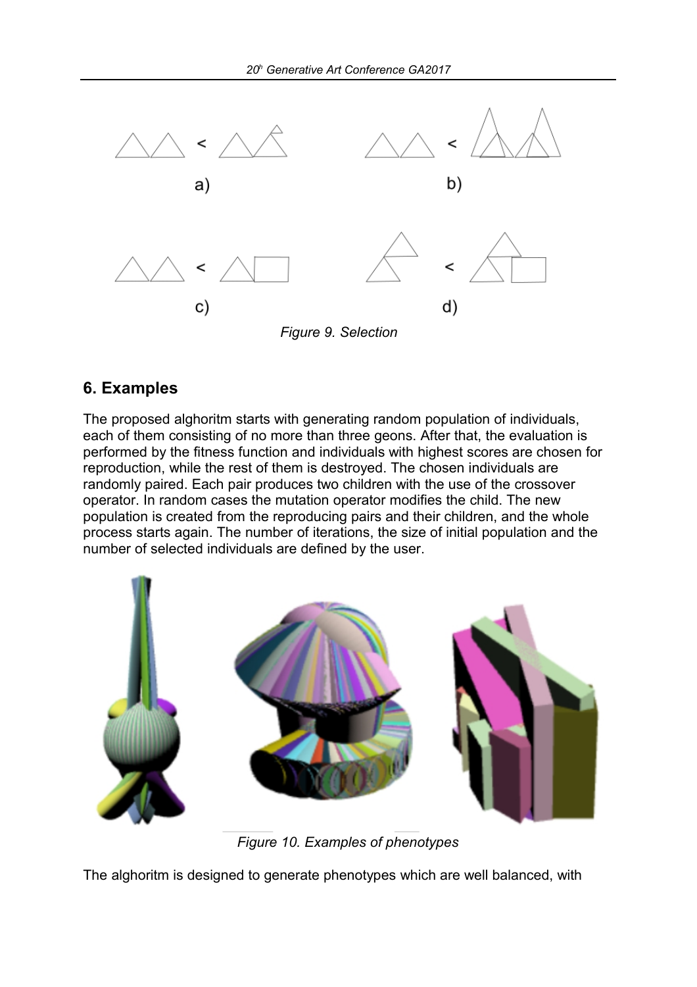

### **6. Examples**

The proposed alghoritm starts with generating random population of individuals, each of them consisting of no more than three geons. After that, the evaluation is performed by the fitness function and individuals with highest scores are chosen for reproduction, while the rest of them is destroyed. The chosen individuals are randomly paired. Each pair produces two children with the use of the crossover operator. In random cases the mutation operator modifies the child. The new population is created from the reproducing pairs and their children, and the whole process starts again. The number of iterations, the size of initial population and the number of selected individuals are defined by the user.



*Figure 10. Examples of phenotypes*

The alghoritm is designed to generate phenotypes which are well balanced, with